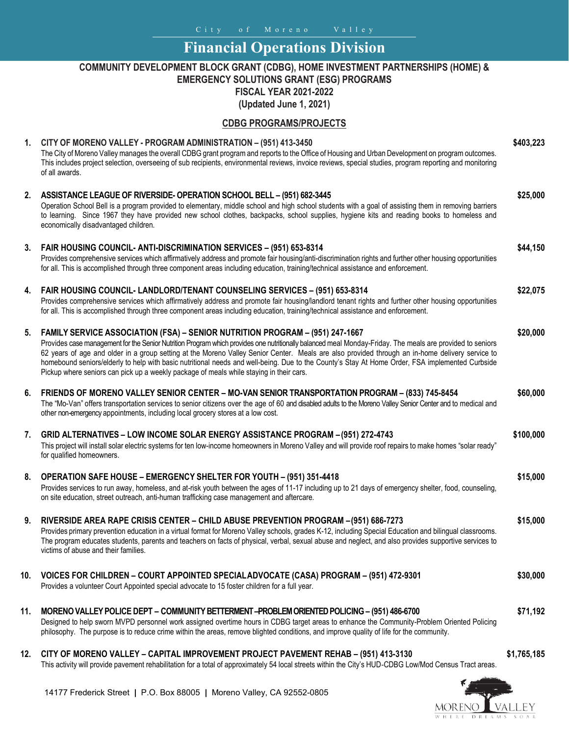City of Moreno Valley

# **Financial Operations Division**

### **COMMUNITY DEVELOPMENT BLOCK GRANT (CDBG), HOME INVESTMENT PARTNERSHIPS (HOME) & EMERGENCY SOLUTIONS GRANT (ESG) PROGRAMS**

**FISCAL YEAR 2021-2022**

**(Updated June 1, 2021)**

#### **CDBG PROGRAMS/PROJECTS**

#### **1. CITY OF MORENO VALLEY - PROGRAM ADMINISTRATION – (951) 413-3450** The City of Moreno Valley manages the overall CDBG grant program and reports to the Office of Housing and Urban Development on program outcomes. This includes project selection, overseeing of sub recipients, environmental reviews, invoice reviews, special studies, program reporting and monitoring of all awards. **\$403,223 2. ASSISTANCE LEAGUE OF RIVERSIDE- OPERATION SCHOOL BELL – (951) 682-3445** Operation School Bell is a program provided to elementary, middle school and high school students with a goal of assisting them in removing barriers to learning. Since 1967 they have provided new school clothes, backpacks, school supplies, hygiene kits and reading books to homeless and economically disadvantaged children. **\$25,000 3. FAIR HOUSING COUNCIL- ANTI-DISCRIMINATION SERVICES – (951) 653-8314** Provides comprehensive services which affirmatively address and promote fair housing/anti-discrimination rights and further other housing opportunities for all. This is accomplished through three component areas including education, training/technical assistance and enforcement. **\$44,150 4. FAIR HOUSING COUNCIL- LANDLORD/TENANT COUNSELING SERVICES – (951) 653-8314** Provides comprehensive services which affirmatively address and promote fair housing/landlord tenant rights and further other housing opportunities for all. This is accomplished through three component areas including education, training/technical assistance and enforcement. **\$22,075 5. FAMILY SERVICE ASSOCIATION (FSA) – SENIOR NUTRITION PROGRAM – (951) 247-1667** Provides case management for the Senior Nutrition Program which provides one nutritionally balanced meal Monday-Friday. The meals are provided to seniors 62 years of age and older in a group setting at the Moreno Valley Senior Center. Meals are also provided through an in-home delivery service to homebound seniors/elderly to help with basic nutritional needs and well-being. Due to the County's Stay At Home Order, FSA implemented Curbside Pickup where seniors can pick up a weekly package of meals while staying in their cars. **\$20,000 6. FRIENDS OF MORENO VALLEY SENIOR CENTER – MO-VAN SENIOR TRANSPORTATION PROGRAM – (833) 745-8454** The "Mo-Van" offers transportation services to senior citizens over the age of 60 and disabled adults to the Moreno Valley Senior Center and to medical and other non-emergency appointments, including local grocery stores at a low cost. **\$60,000 7. GRID ALTERNATIVES – LOW INCOME SOLAR ENERGY ASSISTANCE PROGRAM – (951) 272-4743** This project will install solar electric systems for ten low-income homeowners in Moreno Valley and will provide roof repairs to make homes "solar ready" for qualified homeowners. **\$100,000 8. OPERATION SAFE HOUSE – EMERGENCY SHELTER FOR YOUTH – (951) 351-4418** Provides services to run away, homeless, and at-risk youth between the ages of 11-17 including up to 21 days of emergency shelter, food, counseling, on site education, street outreach, anti-human trafficking case management and aftercare. **\$15,000 9. RIVERSIDE AREA RAPE CRISIS CENTER – CHILD ABUSE PREVENTION PROGRAM –(951) 686-7273** Provides primary prevention education in a virtual format for Moreno Valley schools, grades K-12, including Special Education and bilingual classrooms. The program educates students, parents and teachers on facts of physical, verbal, sexual abuse and neglect, and also provides supportive services to victims of abuse and their families. **\$15,000 10. VOICES FOR CHILDREN – COURT APPOINTED SPECIALADVOCATE (CASA) PROGRAM – (951) 472-9301** Provides a volunteer Court Appointed special advocate to 15 foster children for a full year. **\$30,000 11. MORENOVALLEYPOLICE DEPT – COMMUNITYBETTERMENT –PROBLEM ORIENTEDPOLICING– (951) 486-6700** Designed to help sworn MVPD personnel work assigned overtime hours in CDBG target areas to enhance the Community-Problem Oriented Policing philosophy. The purpose is to reduce crime within the areas, remove blighted conditions, and improve quality of life for the community. **\$71,192 12. CITY OF MORENO VALLEY – CAPITAL IMPROVEMENT PROJECT PAVEMENT REHAB – (951) 413-3130 \$1,765,185**

This activity will provide pavement rehabilitation for a total of approximately 54 local streets within the City's HUD‐CDBG Low/Mod Census Tract areas.



14177 Frederick Street **|** P.O. Box 88005 **|** Moreno Valley, CA 92552-0805